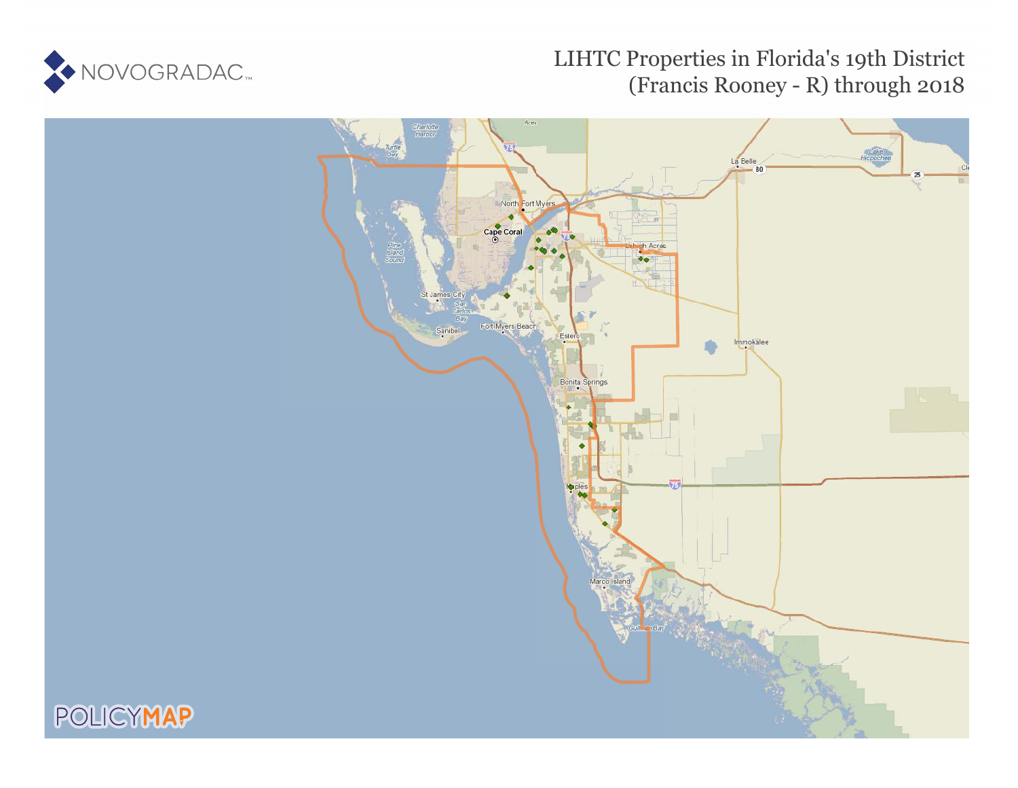

# LIHTC Properties in Florida's 19th District (Francis Rooney - R) through 2018

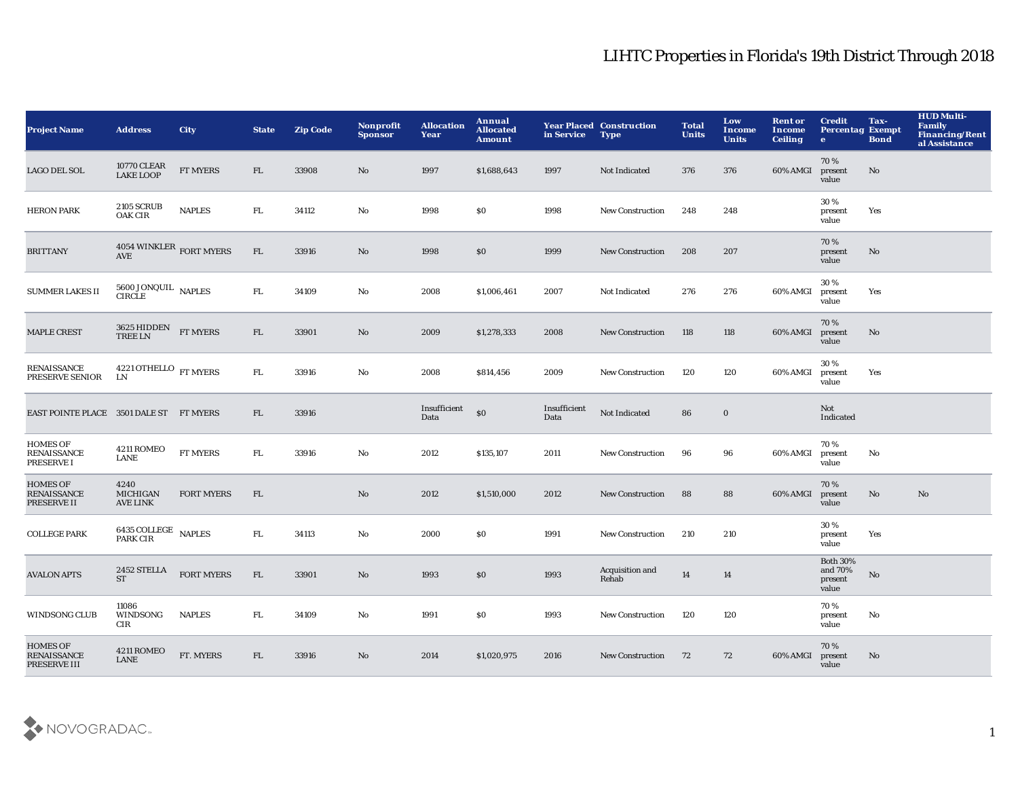| <b>Project Name</b>                                   | <b>Address</b>                                         | <b>City</b>       | <b>State</b> | <b>Zip Code</b> | Nonprofit<br><b>Sponsor</b> | <b>Allocation</b><br>Year | Annual<br><b>Allocated</b><br><b>Amount</b> | in Service           | <b>Year Placed Construction</b><br><b>Type</b> | <b>Total</b><br><b>Units</b> | Low<br><b>Income</b><br><b>Units</b> | <b>Rent or</b><br><b>Income</b><br><b>Ceiling</b> | <b>Credit</b><br><b>Percentag Exempt</b><br>$\mathbf{e}$ | Tax-<br><b>Bond</b> | <b>HUD Multi-</b><br><b>Family</b><br><b>Financing/Rent</b><br>al Assistance |
|-------------------------------------------------------|--------------------------------------------------------|-------------------|--------------|-----------------|-----------------------------|---------------------------|---------------------------------------------|----------------------|------------------------------------------------|------------------------------|--------------------------------------|---------------------------------------------------|----------------------------------------------------------|---------------------|------------------------------------------------------------------------------|
| LAGO DEL SOL                                          | <b>10770 CLEAR</b><br><b>LAKE LOOP</b>                 | FT MYERS          | FL           | 33908           | No                          | 1997                      | \$1,688,643                                 | 1997                 | Not Indicated                                  | 376                          | 376                                  | 60% AMGI                                          | 70%<br>present<br>value                                  | No                  |                                                                              |
| <b>HERON PARK</b>                                     | <b>2105 SCRUB</b><br><b>OAK CIR</b>                    | <b>NAPLES</b>     | FL.          | 34112           | No                          | 1998                      | \$0                                         | 1998                 | <b>New Construction</b>                        | 248                          | 248                                  |                                                   | 30%<br>present<br>value                                  | Yes                 |                                                                              |
| <b>BRITTANY</b>                                       | $4054\text{ WINKLER}$ FORT MYERS AVE                   |                   | FL           | 33916           | No                          | 1998                      | \$0                                         | 1999                 | <b>New Construction</b>                        | 208                          | 207                                  |                                                   | 70%<br>present<br>value                                  | No                  |                                                                              |
| <b>SUMMER LAKES II</b>                                | $5600$ JONQUIL $\,$ NAPLES CIRCLE                      |                   | FL.          | 34109           | No                          | 2008                      | \$1,006,461                                 | 2007                 | Not Indicated                                  | 276                          | 276                                  | 60% AMGI                                          | 30%<br>present<br>value                                  | Yes                 |                                                                              |
| <b>MAPLE CREST</b>                                    | $3625$ HIDDEN $$\rm FT~MYERS$$ TREE LN                 |                   | FL           | 33901           | No                          | 2009                      | \$1,278,333                                 | 2008                 | <b>New Construction</b>                        | 118                          | 118                                  | 60% AMGI                                          | 70%<br>present<br>value                                  | No.                 |                                                                              |
| RENAISSANCE<br>PRESERVE SENIOR                        | $4221\,\mathrm{OTHELLO}$ $_{\mathrm{FT}\,MYERS}$<br>LN |                   | ${\rm FL}$   | 33916           | No                          | 2008                      | \$814,456                                   | 2009                 | <b>New Construction</b>                        | 120                          | 120                                  | 60% AMGI                                          | 30%<br>present<br>value                                  | Yes                 |                                                                              |
| EAST POINTE PLACE 3501 DALE ST FT MYERS               |                                                        |                   | FL.          | 33916           |                             | Insufficient<br>Data      | \$0                                         | Insufficient<br>Data | Not Indicated                                  | 86                           | $\bf{0}$                             |                                                   | Not<br>Indicated                                         |                     |                                                                              |
| HOMES OF<br><b>RENAISSANCE</b><br>PRESERVE I          | 4211 ROMEO<br><b>LANE</b>                              | FT MYERS          | FL.          | 33916           | No                          | 2012                      | \$135,107                                   | 2011                 | <b>New Construction</b>                        | 96                           | 96                                   | 60% AMGI                                          | 70%<br>present<br>value                                  | No                  |                                                                              |
| <b>HOMES OF</b><br><b>RENAISSANCE</b><br>PRESERVE II  | 4240<br><b>MICHIGAN</b><br><b>AVE LINK</b>             | <b>FORT MYERS</b> | FL.          |                 | No                          | 2012                      | \$1,510,000                                 | 2012                 | <b>New Construction</b>                        | 88                           | 88                                   | 60% AMGI                                          | 70%<br>present<br>value                                  | No                  | No                                                                           |
| <b>COLLEGE PARK</b>                                   | 6435 COLLEGE NAPLES<br>PARK CIR                        |                   | ${\rm FL}$   | 34113           | No                          | 2000                      | \$0                                         | 1991                 | <b>New Construction</b>                        | 210                          | 210                                  |                                                   | 30%<br>present<br>value                                  | Yes                 |                                                                              |
| <b>AVALON APTS</b>                                    | 2452 STELLA<br><b>ST</b>                               | <b>FORT MYERS</b> | FL           | 33901           | No                          | 1993                      | \$0                                         | 1993                 | Acquisition and<br>Rehab                       | 14                           | 14                                   |                                                   | <b>Both 30%</b><br>and 70%<br>present<br>value           | No                  |                                                                              |
| <b>WINDSONG CLUB</b>                                  | 11086<br>WINDSONG<br>CIR                               | <b>NAPLES</b>     | ${\rm FL}$   | 34109           | No                          | 1991                      | S <sub>0</sub>                              | 1993                 | <b>New Construction</b>                        | 120                          | 120                                  |                                                   | 70%<br>present<br>value                                  | No                  |                                                                              |
| <b>HOMES OF</b><br><b>RENAISSANCE</b><br>PRESERVE III | 4211 ROMEO<br><b>LANE</b>                              | FT. MYERS         | FL           | 33916           | No                          | 2014                      | \$1,020,975                                 | 2016                 | <b>New Construction</b>                        | 72                           | 72                                   | 60% AMGI                                          | 70%<br>present<br>value                                  | No                  |                                                                              |

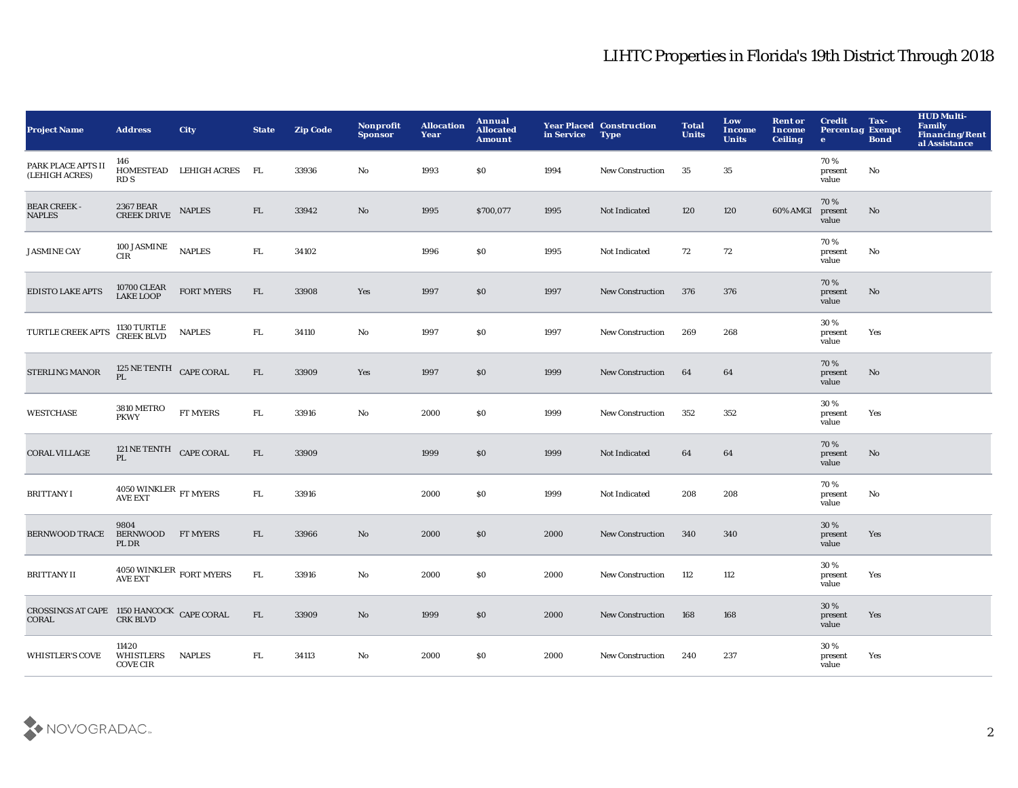| <b>Project Name</b>                                                                                                                                    | <b>Address</b>                               | <b>City</b>            | <b>State</b> | <b>Zip Code</b> | Nonprofit<br><b>Sponsor</b> | <b>Allocation</b><br>Year | Annual<br><b>Allocated</b><br><b>Amount</b> | in Service | <b>Year Placed Construction</b><br><b>Type</b> | <b>Total</b><br><b>Units</b> | Low<br>Income<br><b>Units</b> | <b>Rent or</b><br>Income<br><b>Ceiling</b> | <b>Credit</b><br><b>Percentag Exempt</b><br>$\bullet$ | Tax-<br><b>Bond</b>    | <b>HUD Multi-</b><br><b>Family</b><br>Financing/Rent<br>al Assistance |
|--------------------------------------------------------------------------------------------------------------------------------------------------------|----------------------------------------------|------------------------|--------------|-----------------|-----------------------------|---------------------------|---------------------------------------------|------------|------------------------------------------------|------------------------------|-------------------------------|--------------------------------------------|-------------------------------------------------------|------------------------|-----------------------------------------------------------------------|
| PARK PLACE APTS II<br>(LEHIGH ACRES)                                                                                                                   | 146<br>RD S                                  | HOMESTEAD LEHIGH ACRES | <b>FL</b>    | 33936           | No                          | 1993                      | \$0                                         | 1994       | New Construction                               | 35                           | 35                            |                                            | 70%<br>present<br>value                               | No                     |                                                                       |
| <b>BEAR CREEK -</b><br><b>NAPLES</b>                                                                                                                   | 2367 BEAR<br>CREEK DRIVE                     | <b>NAPLES</b>          | FL           | 33942           | $\mathbf{N}\mathbf{o}$      | 1995                      | \$700,077                                   | 1995       | Not Indicated                                  | 120                          | 120                           | 60% AMGI                                   | 70%<br>present<br>value                               | $\mathbf{N}\mathbf{o}$ |                                                                       |
| <b>JASMINE CAY</b>                                                                                                                                     | 100 JASMINE<br><b>CIR</b>                    | <b>NAPLES</b>          | ${\rm FL}$   | 34102           |                             | 1996                      | \$0                                         | 1995       | Not Indicated                                  | 72                           | 72                            |                                            | 70%<br>present<br>value                               | No                     |                                                                       |
| <b>EDISTO LAKE APTS</b>                                                                                                                                | 10700 CLEAR<br>LAKE LOOP                     | <b>FORT MYERS</b>      | FL.          | 33908           | Yes                         | 1997                      | \$0                                         | 1997       | <b>New Construction</b>                        | 376                          | 376                           |                                            | 70%<br>present<br>value                               | No                     |                                                                       |
| TURTLE CREEK APTS                                                                                                                                      | 1130 TURTLE<br>CREEK BLVD                    | <b>NAPLES</b>          | FL.          | 34110           | No                          | 1997                      | \$0                                         | 1997       | New Construction                               | 269                          | 268                           |                                            | 30%<br>present<br>value                               | Yes                    |                                                                       |
| <b>STERLING MANOR</b>                                                                                                                                  | 125 NE TENTH CAPE CORAL<br>PL                |                        | FL           | 33909           | Yes                         | 1997                      | $\$0$                                       | 1999       | <b>New Construction</b>                        | 64                           | 64                            |                                            | 70%<br>present<br>value                               | No                     |                                                                       |
| <b>WESTCHASE</b>                                                                                                                                       | <b>3810 METRO</b><br><b>PKWY</b>             | FT MYERS               | ${\rm FL}$   | 33916           | $\mathbf{N}\mathbf{o}$      | 2000                      | \$0                                         | 1999       | New Construction                               | 352                          | 352                           |                                            | 30%<br>present<br>value                               | Yes                    |                                                                       |
| <b>CORAL VILLAGE</b>                                                                                                                                   | 121 NE TENTH CAPE CORAL<br>PL                |                        | FL           | 33909           |                             | 1999                      | \$0                                         | 1999       | Not Indicated                                  | 64                           | 64                            |                                            | 70%<br>present<br>value                               | No                     |                                                                       |
| <b>BRITTANY I</b>                                                                                                                                      | $4050\, {\rm WINKLER} \over {\rm FT\,MYERS}$ |                        | FL.          | 33916           |                             | 2000                      | \$0                                         | 1999       | <b>Not Indicated</b>                           | 208                          | 208                           |                                            | 70%<br>present<br>value                               | No                     |                                                                       |
| <b>BERNWOOD TRACE</b>                                                                                                                                  | 9804<br><b>BERNWOOD</b><br>PL DR             | <b>FT MYERS</b>        | FL.          | 33966           | No                          | 2000                      | \$0                                         | 2000       | New Construction                               | 340                          | 340                           |                                            | 30 %<br>present<br>value                              | Yes                    |                                                                       |
| <b>BRITTANY II</b>                                                                                                                                     | $4050\,\mbox{WINKLER}$ FORT MYERS AVE EXT    |                        | FL           | 33916           | No                          | 2000                      | \$0                                         | 2000       | <b>New Construction</b>                        | 112                          | 112                           |                                            | 30 %<br>present<br>value                              | Yes                    |                                                                       |
| $\begin{matrix} \text{CROS SINGS AT CAPE} & \text{1150 HANCOCK} & \text{CAPE CORAL} \\ \text{CRAL} & \text{CRR BLVD} & \text{CAPE CORAL} \end{matrix}$ |                                              |                        | FL           | 33909           | $\mathbf{N}\mathbf{o}$      | 1999                      | \$0                                         | 2000       | <b>New Construction</b>                        | 168                          | 168                           |                                            | 30 %<br>present<br>value                              | Yes                    |                                                                       |
| <b>WHISTLER'S COVE</b>                                                                                                                                 | 11420<br>WHISTLERS<br><b>COVE CIR</b>        | <b>NAPLES</b>          | FL.          | 34113           | No                          | 2000                      | \$0                                         | 2000       | <b>New Construction</b>                        | 240                          | 237                           |                                            | 30%<br>present<br>value                               | Yes                    |                                                                       |

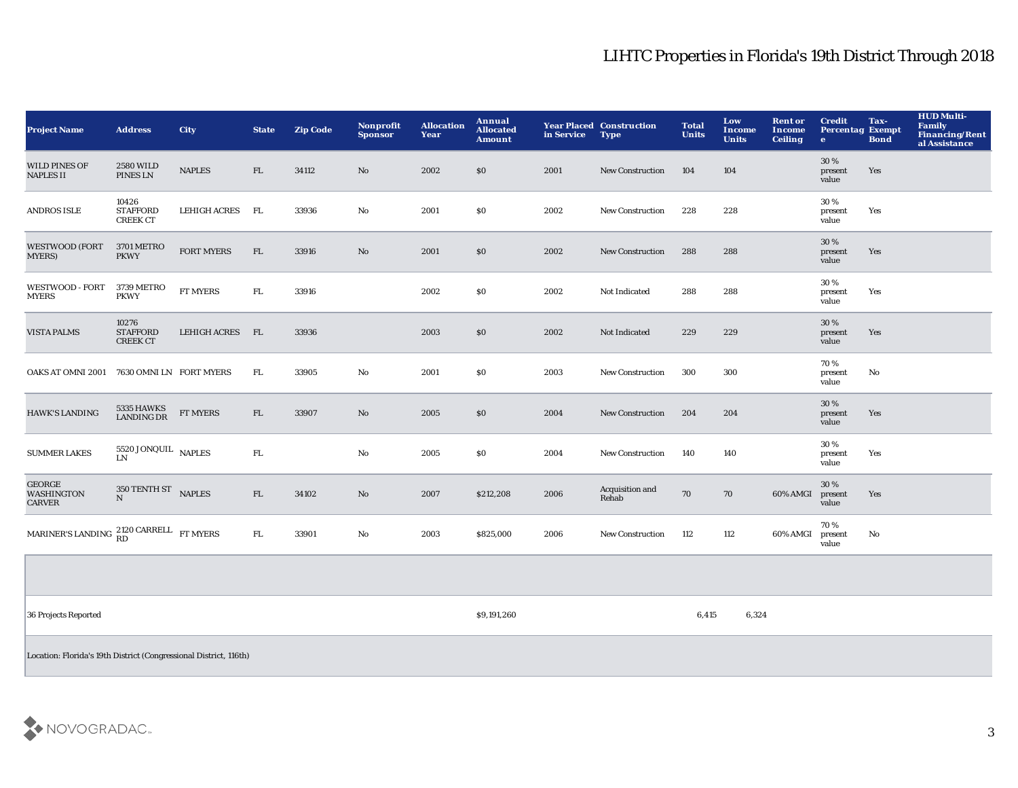| <b>Project Name</b>                                 | <b>Address</b>                              | City              | <b>State</b> | <b>Zip Code</b> | Nonprofit<br><b>Sponsor</b> | <b>Allocation</b><br>Year | Annual<br><b>Allocated</b><br>Amount | in Service Type | <b>Year Placed Construction</b> | <b>Total</b><br><b>Units</b> | Low<br><b>Income</b><br><b>Units</b> | <b>Rent or</b><br>Income<br><b>Ceiling</b> | <b>Credit</b><br><b>Percentag Exempt</b><br>$\mathbf{e}$ | Tax-<br><b>Bond</b> | <b>HUD Multi-</b><br>Family<br>Financing/Rent<br>al Assistance |
|-----------------------------------------------------|---------------------------------------------|-------------------|--------------|-----------------|-----------------------------|---------------------------|--------------------------------------|-----------------|---------------------------------|------------------------------|--------------------------------------|--------------------------------------------|----------------------------------------------------------|---------------------|----------------------------------------------------------------|
| <b>WILD PINES OF</b><br><b>NAPLES II</b>            | <b>2580 WILD</b><br>PINES LN                | <b>NAPLES</b>     | ${\rm FL}$   | 34112           | No                          | 2002                      | \$0                                  | 2001            | <b>New Construction</b>         | 104                          | 104                                  |                                            | 30 %<br>present<br>value                                 | Yes                 |                                                                |
| <b>ANDROS ISLE</b>                                  | 10426<br><b>STAFFORD</b><br><b>CREEK CT</b> | LEHIGH ACRES      | <b>FL</b>    | 33936           | $\mathbf{N}\mathbf{o}$      | 2001                      | \$0                                  | 2002            | <b>New Construction</b>         | 228                          | 228                                  |                                            | 30 %<br>present<br>value                                 | Yes                 |                                                                |
| <b>WESTWOOD (FORT</b><br><b>MYERS</b> )             | 3701 METRO<br><b>PKWY</b>                   | <b>FORT MYERS</b> | FL           | 33916           | No                          | 2001                      | \$0                                  | 2002            | <b>New Construction</b>         | 288                          | 288                                  |                                            | 30 %<br>present<br>value                                 | Yes                 |                                                                |
| <b>WESTWOOD - FORT</b><br><b>MYERS</b>              | 3739 METRO<br><b>PKWY</b>                   | <b>FT MYERS</b>   | ${\bf FL}$   | 33916           |                             | 2002                      | \$0                                  | 2002            | Not Indicated                   | 288                          | 288                                  |                                            | 30 %<br>present<br>value                                 | Yes                 |                                                                |
| <b>VISTA PALMS</b>                                  | 10276<br><b>STAFFORD</b><br><b>CREEK CT</b> | LEHIGH ACRES FL   |              | 33936           |                             | 2003                      | \$0                                  | 2002            | Not Indicated                   | 229                          | 229                                  |                                            | 30%<br>present<br>value                                  | Yes                 |                                                                |
| <b>OAKS AT OMNI 2001</b>                            | 7630 OMNI LN FORT MYERS                     |                   | FL.          | 33905           | $\rm No$                    | 2001                      | \$0                                  | 2003            | <b>New Construction</b>         | 300                          | 300                                  |                                            | 70%<br>present<br>value                                  | No                  |                                                                |
| <b>HAWK'S LANDING</b>                               | 5335 HAWKS<br><b>LANDING DR</b>             | <b>FT MYERS</b>   | FL.          | 33907           | No                          | 2005                      | \$0                                  | 2004            | <b>New Construction</b>         | 204                          | 204                                  |                                            | 30%<br>present<br>value                                  | Yes                 |                                                                |
| <b>SUMMER LAKES</b>                                 | 5520 JONQUIL NAPLES<br><b>LN</b>            |                   | FL.          |                 | No                          | 2005                      | \$0                                  | 2004            | New Construction                | 140                          | 140                                  |                                            | 30 %<br>present<br>value                                 | Yes                 |                                                                |
| <b>GEORGE</b><br><b>WASHINGTON</b><br><b>CARVER</b> | 350 TENTH ST NAPLES<br>N                    |                   | FL           | 34102           | $\mathbf{N}\mathbf{o}$      | 2007                      | \$212,208                            | 2006            | Acquisition and<br>Rehab        | 70                           | 70                                   | 60% AMGI                                   | 30 %<br>present<br>value                                 | Yes                 |                                                                |
| MARINER'S LANDING 2120 CARRELL FT MYERS             |                                             |                   | ${\bf FL}$   | 33901           | No                          | 2003                      | \$825,000                            | 2006            | <b>New Construction</b>         | 112                          | 112                                  | 60% AMGI                                   | 70%<br>present<br>value                                  | No                  |                                                                |
|                                                     |                                             |                   |              |                 |                             |                           |                                      |                 |                                 |                              |                                      |                                            |                                                          |                     |                                                                |
| 36 Projects Reported                                |                                             |                   |              |                 |                             |                           | \$9,191,260                          |                 |                                 | 6,415                        | 6,324                                |                                            |                                                          |                     |                                                                |

Location: Florida's 19th District (Congressional District, 116th)